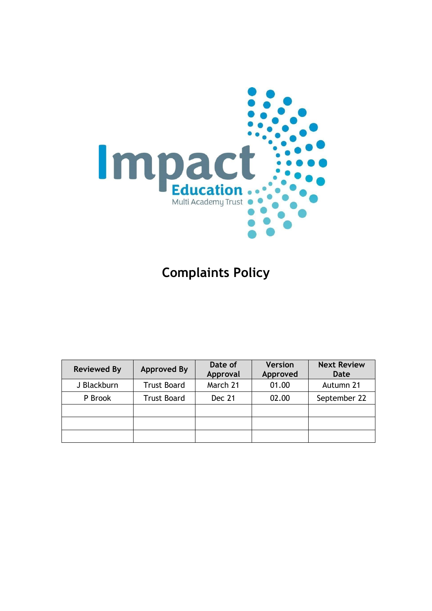

# **Complaints Policy**

| <b>Reviewed By</b> | <b>Approved By</b> | Date of<br>Approval | <b>Version</b><br>Approved | <b>Next Review</b><br>Date |
|--------------------|--------------------|---------------------|----------------------------|----------------------------|
| J Blackburn        | <b>Trust Board</b> | March 21            | 01.00                      | Autumn 21                  |
| P Brook            | <b>Trust Board</b> | Dec 21              | 02.00                      | September 22               |
|                    |                    |                     |                            |                            |
|                    |                    |                     |                            |                            |
|                    |                    |                     |                            |                            |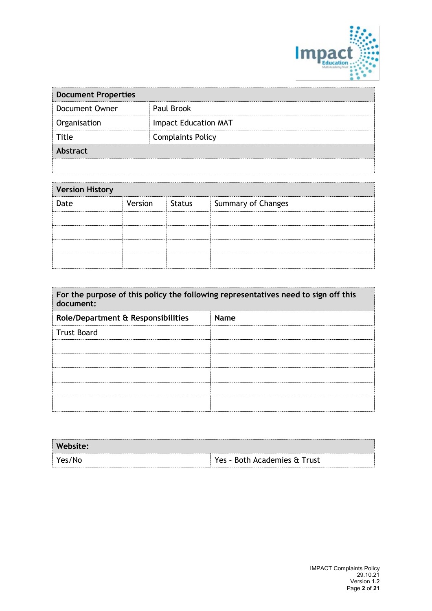

| <b>Document Properties</b> |                             |  |  |  |
|----------------------------|-----------------------------|--|--|--|
| <b>Document Owner</b>      | Paul Brook                  |  |  |  |
| Organisation               | <b>Impact Education MAT</b> |  |  |  |
| Fitle                      | <b>Complaints Policy</b>    |  |  |  |
| <b>Abstract</b>            |                             |  |  |  |
|                            |                             |  |  |  |

| <b>Version History</b> |         |               |                    |  |
|------------------------|---------|---------------|--------------------|--|
| Date                   | Version | <b>Status</b> | Summary of Changes |  |
|                        |         |               |                    |  |
|                        |         |               |                    |  |
|                        |         |               |                    |  |
|                        |         |               |                    |  |

| For the purpose of this policy the following representatives need to sign off this<br>document: |             |  |  |
|-------------------------------------------------------------------------------------------------|-------------|--|--|
| Role/Department & Responsibilities                                                              | <b>Name</b> |  |  |
| <b>Trust Board</b>                                                                              |             |  |  |
|                                                                                                 |             |  |  |
|                                                                                                 |             |  |  |
|                                                                                                 |             |  |  |
|                                                                                                 |             |  |  |
|                                                                                                 |             |  |  |

| Website: |                              |
|----------|------------------------------|
| Yes/No   | Yes - Both Academies & Trust |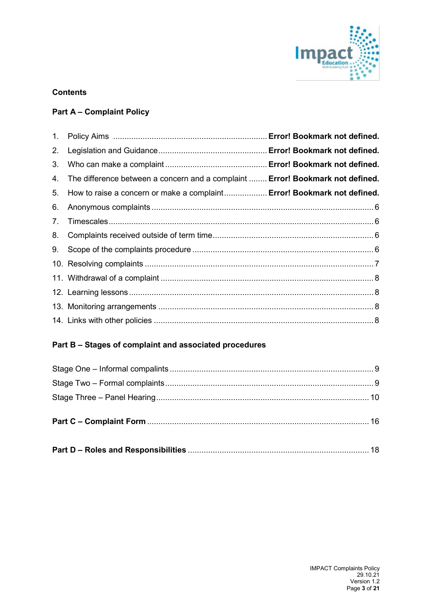

# **Contents**

# **Part A – Complaint Policy**

| 1. |                                                                                |  |
|----|--------------------------------------------------------------------------------|--|
| 2. |                                                                                |  |
| 3. |                                                                                |  |
| 4. | The difference between a concern and a complaint  Error! Bookmark not defined. |  |
| 5. | How to raise a concern or make a complaint Error! Bookmark not defined.        |  |
| 6. |                                                                                |  |
| 7. |                                                                                |  |
| 8. |                                                                                |  |
| 9. |                                                                                |  |
|    |                                                                                |  |
|    |                                                                                |  |
|    |                                                                                |  |
|    |                                                                                |  |
|    |                                                                                |  |

# **Part B – Stages of complaint and associated procedures**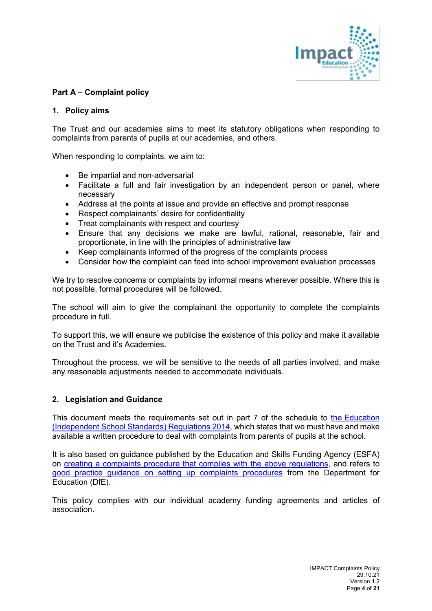

## **Part A – Complaint policy**

#### **1. Policy aims**

The Trust and our academies aims to meet its statutory obligations when responding to complaints from parents of pupils at our academies, and others.

When responding to complaints, we aim to:

- Be impartial and non-adversarial
- Facilitate a full and fair investigation by an independent person or panel, where necessary
- Address all the points at issue and provide an effective and prompt response
- Respect complainants' desire for confidentiality
- Treat complainants with respect and courtesy
- Ensure that any decisions we make are lawful, rational, reasonable, fair and proportionate, in line with the principles of administrative law
- Keep complainants informed of the progress of the complaints process
- Consider how the complaint can feed into school improvement evaluation processes

We try to resolve concerns or complaints by informal means wherever possible. Where this is not possible, formal procedures will be followed.

The school will aim to give the complainant the opportunity to complete the complaints procedure in full.

To support this, we will ensure we publicise the existence of this policy and make it available on the Trust and it's Academies.

Throughout the process, we will be sensitive to the needs of all parties involved, and make any reasonable adjustments needed to accommodate individuals.

## **2. Legislation and Guidance**

This document meets the requirements set out in part 7 of the schedule to the [Education](http://www.legislation.gov.uk/uksi/2014/3283/schedule/made)  [\(Independent School Standards\) Regulations 2014,](http://www.legislation.gov.uk/uksi/2014/3283/schedule/made) which states that we must have and make available a written procedure to deal with complaints from parents of pupils at the school.

It is also based on guidance published by the Education and Skills Funding Agency (ESFA) on [creating a complaints procedure that complies with the above](https://www.gov.uk/government/publications/setting-up-an-academies-complaints-procedure) regulations, and refers to [good practice guidance on setting up complaints procedures](https://www.gov.uk/government/publications/school-complaints-procedures) from the Department for Education (DfE).

This policy complies with our individual academy funding agreements and articles of association.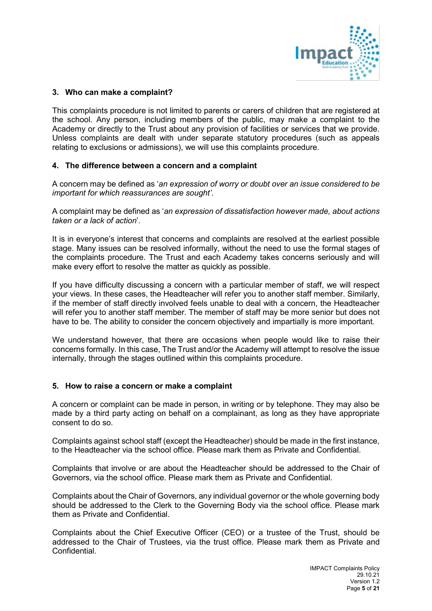

## **3. Who can make a complaint?**

This complaints procedure is not limited to parents or carers of children that are registered at the school. Any person, including members of the public, may make a complaint to the Academy or directly to the Trust about any provision of facilities or services that we provide. Unless complaints are dealt with under separate statutory procedures (such as appeals relating to exclusions or admissions), we will use this complaints procedure.

#### **4. The difference between a concern and a complaint**

A concern may be defined as '*an expression of worry or doubt over an issue considered to be important for which reassurances are sought'*.

A complaint may be defined as '*an expression of dissatisfaction however made, about actions taken or a lack of action*'.

It is in everyone's interest that concerns and complaints are resolved at the earliest possible stage. Many issues can be resolved informally, without the need to use the formal stages of the complaints procedure. The Trust and each Academy takes concerns seriously and will make every effort to resolve the matter as quickly as possible.

If you have difficulty discussing a concern with a particular member of staff, we will respect your views. In these cases, the Headteacher will refer you to another staff member. Similarly, if the member of staff directly involved feels unable to deal with a concern, the Headteacher will refer you to another staff member. The member of staff may be more senior but does not have to be. The ability to consider the concern objectively and impartially is more important.

We understand however, that there are occasions when people would like to raise their concerns formally. In this case, The Trust and/or the Academy will attempt to resolve the issue internally, through the stages outlined within this complaints procedure.

#### **5. How to raise a concern or make a complaint**

A concern or complaint can be made in person, in writing or by telephone. They may also be made by a third party acting on behalf on a complainant, as long as they have appropriate consent to do so.

Complaints against school staff (except the Headteacher) should be made in the first instance, to the Headteacher via the school office*.* Please mark them as Private and Confidential.

Complaints that involve or are about the Headteacher should be addressed to the Chair of Governors, via the school office. Please mark them as Private and Confidential.

Complaints about the Chair of Governors, any individual governor or the whole governing body should be addressed to the Clerk to the Governing Body via the school office. Please mark them as Private and Confidential.

Complaints about the Chief Executive Officer (CEO) or a trustee of the Trust, should be addressed to the Chair of Trustees, via the trust office. Please mark them as Private and **Confidential**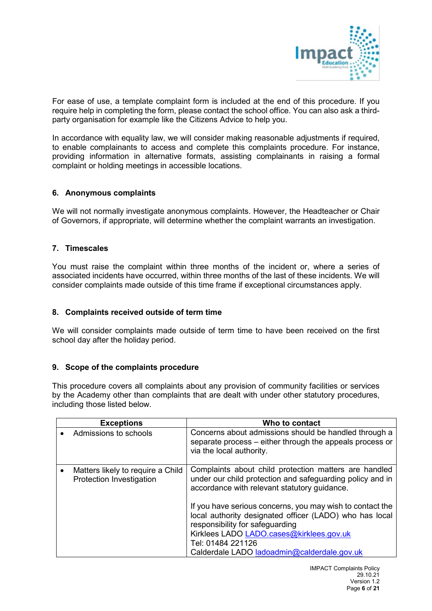

For ease of use, a template complaint form is included at the end of this procedure. If you require help in completing the form, please contact the school office. You can also ask a thirdparty organisation for example like the Citizens Advice to help you.

In accordance with equality law, we will consider making reasonable adjustments if required, to enable complainants to access and complete this complaints procedure. For instance, providing information in alternative formats, assisting complainants in raising a formal complaint or holding meetings in accessible locations.

#### **6. Anonymous complaints**

We will not normally investigate anonymous complaints. However, the Headteacher or Chair of Governors, if appropriate, will determine whether the complaint warrants an investigation.

#### **7. Timescales**

You must raise the complaint within three months of the incident or, where a series of associated incidents have occurred, within three months of the last of these incidents. We will consider complaints made outside of this time frame if exceptional circumstances apply.

#### **8. Complaints received outside of term time**

We will consider complaints made outside of term time to have been received on the first school day after the holiday period.

#### **9. Scope of the complaints procedure**

This procedure covers all complaints about any provision of community facilities or services by the Academy other than complaints that are dealt with under other statutory procedures, including those listed below.

| <b>Exceptions</b>                                                          | Who to contact                                                                                                                                                                                                                                                                                                                                                                                                                                |
|----------------------------------------------------------------------------|-----------------------------------------------------------------------------------------------------------------------------------------------------------------------------------------------------------------------------------------------------------------------------------------------------------------------------------------------------------------------------------------------------------------------------------------------|
| Admissions to schools                                                      | Concerns about admissions should be handled through a<br>separate process - either through the appeals process or<br>via the local authority.                                                                                                                                                                                                                                                                                                 |
| Matters likely to require a Child<br>$\bullet$<br>Protection Investigation | Complaints about child protection matters are handled<br>under our child protection and safeguarding policy and in<br>accordance with relevant statutory guidance.<br>If you have serious concerns, you may wish to contact the<br>local authority designated officer (LADO) who has local<br>responsibility for safeguarding<br>Kirklees LADO LADO.cases@kirklees.gov.uk<br>Tel: 01484 221126<br>Calderdale LADO ladoadmin@calderdale.gov.uk |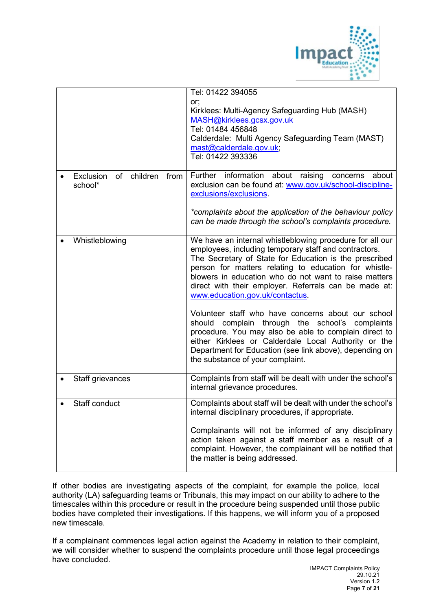

|  |                                  | Tel: 01422 394055                                                                                               |
|--|----------------------------------|-----------------------------------------------------------------------------------------------------------------|
|  |                                  | or;                                                                                                             |
|  |                                  | Kirklees: Multi-Agency Safeguarding Hub (MASH)                                                                  |
|  |                                  | MASH@kirklees.gcsx.gov.uk                                                                                       |
|  |                                  | Tel: 01484 456848<br>Calderdale: Multi Agency Safeguarding Team (MAST)                                          |
|  |                                  | mast@calderdale.gov.uk;                                                                                         |
|  |                                  | Tel: 01422 393336                                                                                               |
|  |                                  |                                                                                                                 |
|  | of children<br>Exclusion<br>from | Further information about raising concerns<br>about                                                             |
|  | school*                          | exclusion can be found at: www.gov.uk/school-discipline-                                                        |
|  |                                  | exclusions/exclusions.                                                                                          |
|  |                                  | *complaints about the application of the behaviour policy                                                       |
|  |                                  | can be made through the school's complaints procedure.                                                          |
|  |                                  |                                                                                                                 |
|  | Whistleblowing                   | We have an internal whistleblowing procedure for all our                                                        |
|  |                                  | employees, including temporary staff and contractors.<br>The Secretary of State for Education is the prescribed |
|  |                                  | person for matters relating to education for whistle-                                                           |
|  |                                  | blowers in education who do not want to raise matters                                                           |
|  |                                  | direct with their employer. Referrals can be made at:                                                           |
|  |                                  | www.education.gov.uk/contactus.                                                                                 |
|  |                                  |                                                                                                                 |
|  |                                  | Volunteer staff who have concerns about our school<br>should complain through the school's complaints           |
|  |                                  | procedure. You may also be able to complain direct to                                                           |
|  |                                  | either Kirklees or Calderdale Local Authority or the                                                            |
|  |                                  | Department for Education (see link above), depending on                                                         |
|  |                                  | the substance of your complaint.                                                                                |
|  | Staff grievances                 | Complaints from staff will be dealt with under the school's                                                     |
|  |                                  | internal grievance procedures.                                                                                  |
|  |                                  |                                                                                                                 |
|  | Staff conduct                    | Complaints about staff will be dealt with under the school's                                                    |
|  |                                  | internal disciplinary procedures, if appropriate.                                                               |
|  |                                  | Complainants will not be informed of any disciplinary                                                           |
|  |                                  | action taken against a staff member as a result of a                                                            |
|  |                                  | complaint. However, the complainant will be notified that                                                       |
|  |                                  | the matter is being addressed.                                                                                  |
|  |                                  |                                                                                                                 |

If other bodies are investigating aspects of the complaint, for example the police, local authority (LA) safeguarding teams or Tribunals, this may impact on our ability to adhere to the timescales within this procedure or result in the procedure being suspended until those public bodies have completed their investigations. If this happens, we will inform you of a proposed new timescale.

If a complainant commences legal action against the Academy in relation to their complaint, we will consider whether to suspend the complaints procedure until those legal proceedings have concluded.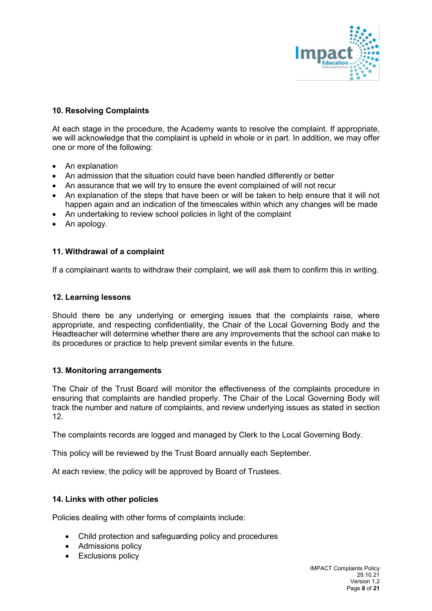

## **10. Resolving Complaints**

At each stage in the procedure, the Academy wants to resolve the complaint. If appropriate, we will acknowledge that the complaint is upheld in whole or in part. In addition, we may offer one or more of the following:

- An explanation
- An admission that the situation could have been handled differently or better
- An assurance that we will try to ensure the event complained of will not recur
- An explanation of the steps that have been or will be taken to help ensure that it will not happen again and an indication of the timescales within which any changes will be made
- An undertaking to review school policies in light of the complaint
- An apology.

#### **11. Withdrawal of a complaint**

If a complainant wants to withdraw their complaint, we will ask them to confirm this in writing.

#### **12. Learning lessons**

Should there be any underlying or emerging issues that the complaints raise, where appropriate, and respecting confidentiality, the Chair of the Local Governing Body and the Headteacher will determine whether there are any improvements that the school can make to its procedures or practice to help prevent similar events in the future.

#### **13. Monitoring arrangements**

The Chair of the Trust Board will monitor the effectiveness of the complaints procedure in ensuring that complaints are handled properly. The Chair of the Local Governing Body will track the number and nature of complaints, and review underlying issues as stated in section 12.

The complaints records are logged and managed by Clerk to the Local Governing Body.

This policy will be reviewed by the Trust Board annually each September.

At each review, the policy will be approved by Board of Trustees.

#### **14. Links with other policies**

Policies dealing with other forms of complaints include:

- Child protection and safeguarding policy and procedures
- Admissions policy
- Exclusions policy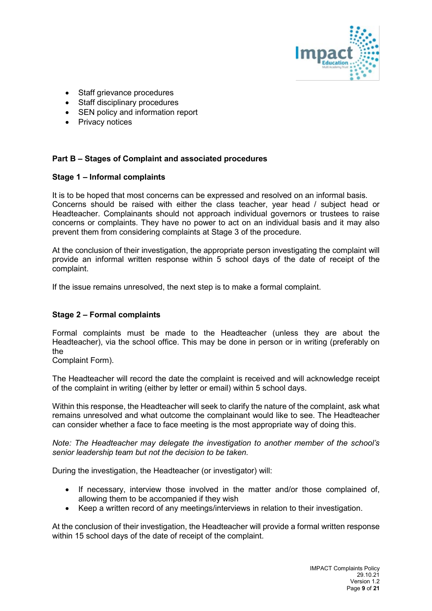

- Staff grievance procedures
- Staff disciplinary procedures
- SEN policy and information report
- Privacy notices

## **Part B – Stages of Complaint and associated procedures**

#### **Stage 1 – Informal complaints**

It is to be hoped that most concerns can be expressed and resolved on an informal basis. Concerns should be raised with either the class teacher, year head / subject head or Headteacher. Complainants should not approach individual governors or trustees to raise concerns or complaints. They have no power to act on an individual basis and it may also prevent them from considering complaints at Stage 3 of the procedure.

At the conclusion of their investigation, the appropriate person investigating the complaint will provide an informal written response within 5 school days of the date of receipt of the complaint.

If the issue remains unresolved, the next step is to make a formal complaint.

## **Stage 2 – Formal complaints**

Formal complaints must be made to the Headteacher (unless they are about the Headteacher), via the school office. This may be done in person or in writing (preferably on the

Complaint Form).

The Headteacher will record the date the complaint is received and will acknowledge receipt of the complaint in writing (either by letter or email) within 5 school days.

Within this response, the Headteacher will seek to clarify the nature of the complaint, ask what remains unresolved and what outcome the complainant would like to see. The Headteacher can consider whether a face to face meeting is the most appropriate way of doing this.

*Note: The Headteacher may delegate the investigation to another member of the school's senior leadership team but not the decision to be taken.*

During the investigation, the Headteacher (or investigator) will:

- If necessary, interview those involved in the matter and/or those complained of, allowing them to be accompanied if they wish
- Keep a written record of any meetings/interviews in relation to their investigation.

At the conclusion of their investigation, the Headteacher will provide a formal written response within 15 school days of the date of receipt of the complaint.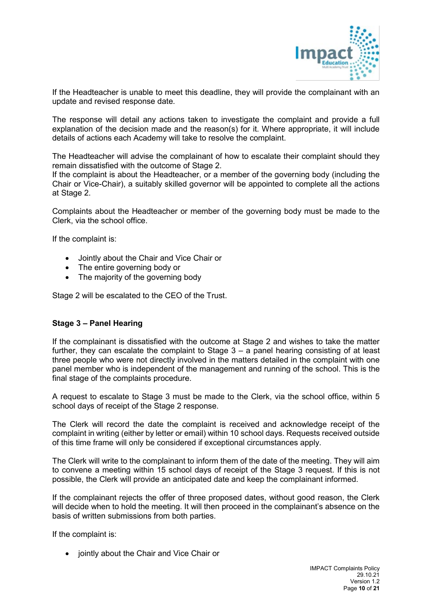

If the Headteacher is unable to meet this deadline, they will provide the complainant with an update and revised response date.

The response will detail any actions taken to investigate the complaint and provide a full explanation of the decision made and the reason(s) for it. Where appropriate, it will include details of actions each Academy will take to resolve the complaint.

The Headteacher will advise the complainant of how to escalate their complaint should they remain dissatisfied with the outcome of Stage 2.

If the complaint is about the Headteacher, or a member of the governing body (including the Chair or Vice-Chair), a suitably skilled governor will be appointed to complete all the actions at Stage 2.

Complaints about the Headteacher or member of the governing body must be made to the Clerk, via the school office.

If the complaint is:

- Jointly about the Chair and Vice Chair or
- The entire governing body or
- The majority of the governing body

Stage 2 will be escalated to the CEO of the Trust.

#### **Stage 3 – Panel Hearing**

If the complainant is dissatisfied with the outcome at Stage 2 and wishes to take the matter further, they can escalate the complaint to Stage 3 – a panel hearing consisting of at least three people who were not directly involved in the matters detailed in the complaint with one panel member who is independent of the management and running of the school. This is the final stage of the complaints procedure.

A request to escalate to Stage 3 must be made to the Clerk, via the school office, within 5 school days of receipt of the Stage 2 response.

The Clerk will record the date the complaint is received and acknowledge receipt of the complaint in writing (either by letter or email) within 10 school days. Requests received outside of this time frame will only be considered if exceptional circumstances apply.

The Clerk will write to the complainant to inform them of the date of the meeting. They will aim to convene a meeting within 15 school days of receipt of the Stage 3 request. If this is not possible, the Clerk will provide an anticipated date and keep the complainant informed.

If the complainant rejects the offer of three proposed dates, without good reason, the Clerk will decide when to hold the meeting. It will then proceed in the complainant's absence on the basis of written submissions from both parties.

If the complaint is:

• jointly about the Chair and Vice Chair or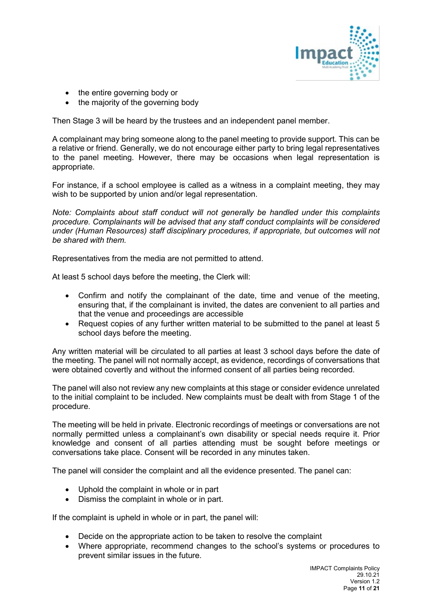

- the entire governing body or
- the majority of the governing body

Then Stage 3 will be heard by the trustees and an independent panel member.

A complainant may bring someone along to the panel meeting to provide support. This can be a relative or friend. Generally, we do not encourage either party to bring legal representatives to the panel meeting. However, there may be occasions when legal representation is appropriate.

For instance, if a school employee is called as a witness in a complaint meeting, they may wish to be supported by union and/or legal representation.

*Note: Complaints about staff conduct will not generally be handled under this complaints procedure. Complainants will be advised that any staff conduct complaints will be considered under (Human Resources) staff disciplinary procedures, if appropriate, but outcomes will not be shared with them.* 

Representatives from the media are not permitted to attend.

At least 5 school days before the meeting, the Clerk will:

- Confirm and notify the complainant of the date, time and venue of the meeting, ensuring that, if the complainant is invited, the dates are convenient to all parties and that the venue and proceedings are accessible
- Request copies of any further written material to be submitted to the panel at least 5 school days before the meeting.

Any written material will be circulated to all parties at least 3 school days before the date of the meeting. The panel will not normally accept, as evidence, recordings of conversations that were obtained covertly and without the informed consent of all parties being recorded.

The panel will also not review any new complaints at this stage or consider evidence unrelated to the initial complaint to be included. New complaints must be dealt with from Stage 1 of the procedure.

The meeting will be held in private. Electronic recordings of meetings or conversations are not normally permitted unless a complainant's own disability or special needs require it. Prior knowledge and consent of all parties attending must be sought before meetings or conversations take place. Consent will be recorded in any minutes taken.

The panel will consider the complaint and all the evidence presented. The panel can:

- Uphold the complaint in whole or in part
- Dismiss the complaint in whole or in part.

If the complaint is upheld in whole or in part, the panel will:

- Decide on the appropriate action to be taken to resolve the complaint
- Where appropriate, recommend changes to the school's systems or procedures to prevent similar issues in the future.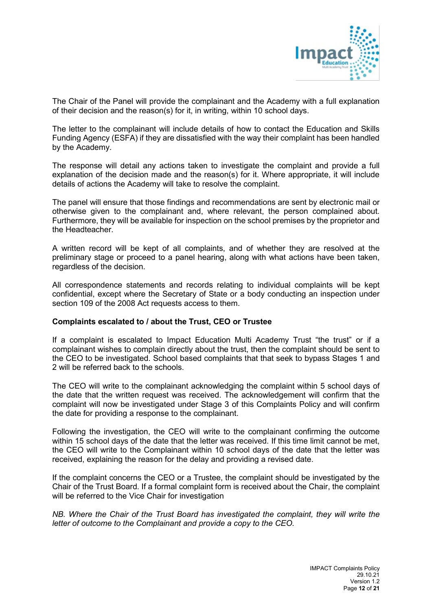

The Chair of the Panel will provide the complainant and the Academy with a full explanation of their decision and the reason(s) for it, in writing, within 10 school days.

The letter to the complainant will include details of how to contact the Education and Skills Funding Agency (ESFA) if they are dissatisfied with the way their complaint has been handled by the Academy.

The response will detail any actions taken to investigate the complaint and provide a full explanation of the decision made and the reason(s) for it. Where appropriate, it will include details of actions the Academy will take to resolve the complaint.

The panel will ensure that those findings and recommendations are sent by electronic mail or otherwise given to the complainant and, where relevant, the person complained about. Furthermore, they will be available for inspection on the school premises by the proprietor and the Headteacher.

A written record will be kept of all complaints, and of whether they are resolved at the preliminary stage or proceed to a panel hearing, along with what actions have been taken, regardless of the decision.

All correspondence statements and records relating to individual complaints will be kept confidential, except where the Secretary of State or a body conducting an inspection under section 109 of the 2008 Act requests access to them.

#### **Complaints escalated to / about the Trust, CEO or Trustee**

If a complaint is escalated to Impact Education Multi Academy Trust "the trust" or if a complainant wishes to complain directly about the trust, then the complaint should be sent to the CEO to be investigated. School based complaints that that seek to bypass Stages 1 and 2 will be referred back to the schools.

The CEO will write to the complainant acknowledging the complaint within 5 school days of the date that the written request was received. The acknowledgement will confirm that the complaint will now be investigated under Stage 3 of this Complaints Policy and will confirm the date for providing a response to the complainant.

Following the investigation, the CEO will write to the complainant confirming the outcome within 15 school days of the date that the letter was received. If this time limit cannot be met, the CEO will write to the Complainant within 10 school days of the date that the letter was received, explaining the reason for the delay and providing a revised date.

If the complaint concerns the CEO or a Trustee, the complaint should be investigated by the Chair of the Trust Board. If a formal complaint form is received about the Chair, the complaint will be referred to the Vice Chair for investigation

*NB. Where the Chair of the Trust Board has investigated the complaint, they will write the letter of outcome to the Complainant and provide a copy to the CEO.*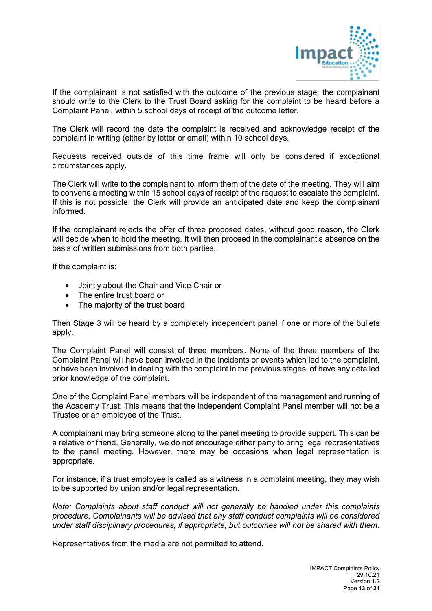

If the complainant is not satisfied with the outcome of the previous stage, the complainant should write to the Clerk to the Trust Board asking for the complaint to be heard before a Complaint Panel, within 5 school days of receipt of the outcome letter.

The Clerk will record the date the complaint is received and acknowledge receipt of the complaint in writing (either by letter or email) within 10 school days.

Requests received outside of this time frame will only be considered if exceptional circumstances apply.

The Clerk will write to the complainant to inform them of the date of the meeting. They will aim to convene a meeting within 15 school days of receipt of the request to escalate the complaint. If this is not possible, the Clerk will provide an anticipated date and keep the complainant informed.

If the complainant rejects the offer of three proposed dates, without good reason, the Clerk will decide when to hold the meeting. It will then proceed in the complainant's absence on the basis of written submissions from both parties.

If the complaint is:

- Jointly about the Chair and Vice Chair or
- The entire trust board or
- The majority of the trust board

Then Stage 3 will be heard by a completely independent panel if one or more of the bullets apply.

The Complaint Panel will consist of three members. None of the three members of the Complaint Panel will have been involved in the incidents or events which led to the complaint, or have been involved in dealing with the complaint in the previous stages, of have any detailed prior knowledge of the complaint.

One of the Complaint Panel members will be independent of the management and running of the Academy Trust. This means that the independent Complaint Panel member will not be a Trustee or an employee of the Trust.

A complainant may bring someone along to the panel meeting to provide support. This can be a relative or friend. Generally, we do not encourage either party to bring legal representatives to the panel meeting. However, there may be occasions when legal representation is appropriate.

For instance, if a trust employee is called as a witness in a complaint meeting, they may wish to be supported by union and/or legal representation.

*Note: Complaints about staff conduct will not generally be handled under this complaints procedure. Complainants will be advised that any staff conduct complaints will be considered under staff disciplinary procedures, if appropriate, but outcomes will not be shared with them.* 

Representatives from the media are not permitted to attend.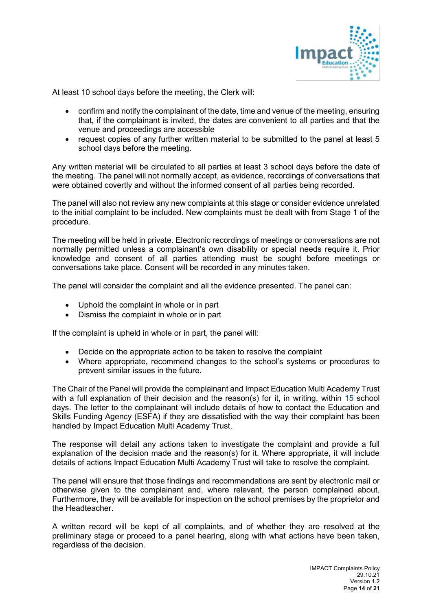

At least 10 school days before the meeting, the Clerk will:

- confirm and notify the complainant of the date, time and venue of the meeting, ensuring that, if the complainant is invited, the dates are convenient to all parties and that the venue and proceedings are accessible
- request copies of any further written material to be submitted to the panel at least 5 school days before the meeting.

Any written material will be circulated to all parties at least 3 school days before the date of the meeting. The panel will not normally accept, as evidence, recordings of conversations that were obtained covertly and without the informed consent of all parties being recorded.

The panel will also not review any new complaints at this stage or consider evidence unrelated to the initial complaint to be included. New complaints must be dealt with from Stage 1 of the procedure.

The meeting will be held in private. Electronic recordings of meetings or conversations are not normally permitted unless a complainant's own disability or special needs require it. Prior knowledge and consent of all parties attending must be sought before meetings or conversations take place. Consent will be recorded in any minutes taken.

The panel will consider the complaint and all the evidence presented. The panel can:

- Uphold the complaint in whole or in part
- Dismiss the complaint in whole or in part

If the complaint is upheld in whole or in part, the panel will:

- Decide on the appropriate action to be taken to resolve the complaint
- Where appropriate, recommend changes to the school's systems or procedures to prevent similar issues in the future.

The Chair of the Panel will provide the complainant and Impact Education Multi Academy Trust with a full explanation of their decision and the reason(s) for it, in writing, within 15 school days. The letter to the complainant will include details of how to contact the Education and Skills Funding Agency (ESFA) if they are dissatisfied with the way their complaint has been handled by Impact Education Multi Academy Trust.

The response will detail any actions taken to investigate the complaint and provide a full explanation of the decision made and the reason(s) for it. Where appropriate, it will include details of actions Impact Education Multi Academy Trust will take to resolve the complaint.

The panel will ensure that those findings and recommendations are sent by electronic mail or otherwise given to the complainant and, where relevant, the person complained about. Furthermore, they will be available for inspection on the school premises by the proprietor and the Headteacher.

A written record will be kept of all complaints, and of whether they are resolved at the preliminary stage or proceed to a panel hearing, along with what actions have been taken, regardless of the decision.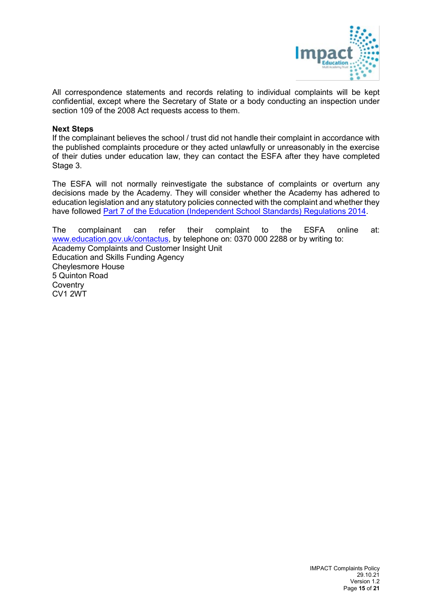

All correspondence statements and records relating to individual complaints will be kept confidential, except where the Secretary of State or a body conducting an inspection under section 109 of the 2008 Act requests access to them.

#### **Next Steps**

If the complainant believes the school / trust did not handle their complaint in accordance with the published complaints procedure or they acted unlawfully or unreasonably in the exercise of their duties under education law, they can contact the ESFA after they have completed Stage 3.

The ESFA will not normally reinvestigate the substance of complaints or overturn any decisions made by the Academy. They will consider whether the Academy has adhered to education legislation and any statutory policies connected with the complaint and whether they have followed [Part 7 of the Education \(Independent School Standards\) Regulations 2014.](http://www.legislation.gov.uk/uksi/2010/1997/schedule/1/made)

The complainant can refer their complaint to the ESFA online at: [www.education.gov.uk/contactus,](http://www.education.gov.uk/contactus) by telephone on: 0370 000 2288 or by writing to: Academy Complaints and Customer Insight Unit Education and Skills Funding Agency Cheylesmore House 5 Quinton Road **Coventry** CV1 2WT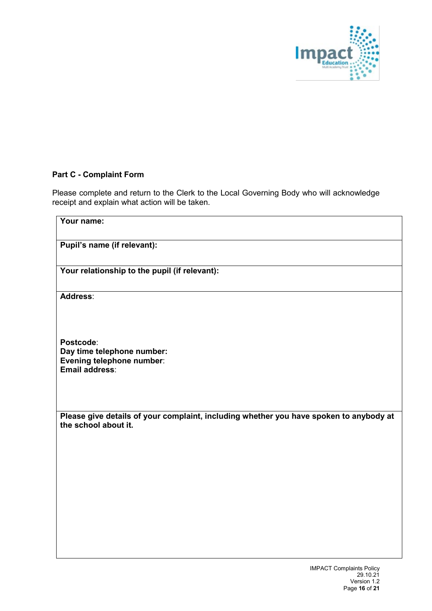

# **Part C - Complaint Form**

Please complete and return to the Clerk to the Local Governing Body who will acknowledge receipt and explain what action will be taken.

| Your name:                                                                                                     |
|----------------------------------------------------------------------------------------------------------------|
| Pupil's name (if relevant):                                                                                    |
| Your relationship to the pupil (if relevant):                                                                  |
| Address:                                                                                                       |
| Postcode:<br>Day time telephone number:<br>Evening telephone number:<br>Email address:                         |
| Please give details of your complaint, including whether you have spoken to anybody at<br>the school about it. |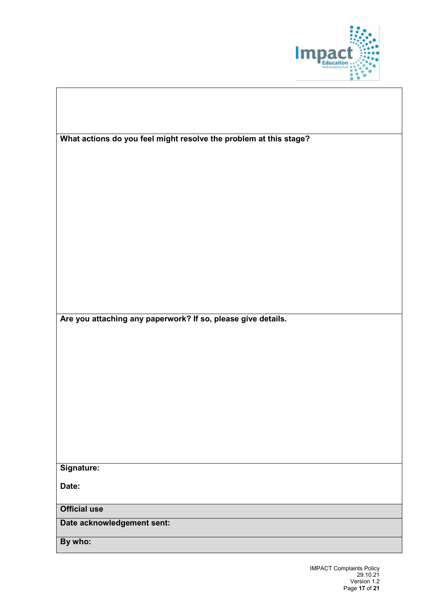

| What actions do you feel might resolve the problem at this stage? |  |  |  |  |
|-------------------------------------------------------------------|--|--|--|--|
|                                                                   |  |  |  |  |
|                                                                   |  |  |  |  |
|                                                                   |  |  |  |  |
|                                                                   |  |  |  |  |
|                                                                   |  |  |  |  |
|                                                                   |  |  |  |  |
|                                                                   |  |  |  |  |
|                                                                   |  |  |  |  |
|                                                                   |  |  |  |  |
|                                                                   |  |  |  |  |
| Are you attaching any paperwork? If so, please give details.      |  |  |  |  |
|                                                                   |  |  |  |  |
|                                                                   |  |  |  |  |
|                                                                   |  |  |  |  |
|                                                                   |  |  |  |  |
|                                                                   |  |  |  |  |
|                                                                   |  |  |  |  |
|                                                                   |  |  |  |  |
|                                                                   |  |  |  |  |
|                                                                   |  |  |  |  |
| Signature:                                                        |  |  |  |  |
| Date:                                                             |  |  |  |  |
|                                                                   |  |  |  |  |
| <b>Official use</b>                                               |  |  |  |  |
| Date acknowledgement sent:                                        |  |  |  |  |
| By who:                                                           |  |  |  |  |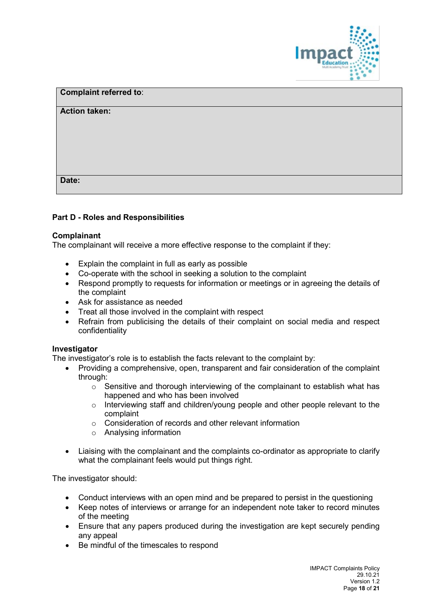

| <b>Complaint referred to:</b> |  |  |
|-------------------------------|--|--|
| <b>Action taken:</b>          |  |  |
|                               |  |  |
|                               |  |  |
|                               |  |  |
|                               |  |  |
| Date:                         |  |  |

## **Part D - Roles and Responsibilities**

#### **Complainant**

The complainant will receive a more effective response to the complaint if they:

- Explain the complaint in full as early as possible
- Co-operate with the school in seeking a solution to the complaint
- Respond promptly to requests for information or meetings or in agreeing the details of the complaint
- Ask for assistance as needed
- Treat all those involved in the complaint with respect
- Refrain from publicising the details of their complaint on social media and respect confidentiality

#### **Investigator**

The investigator's role is to establish the facts relevant to the complaint by:

- Providing a comprehensive, open, transparent and fair consideration of the complaint through:
	- $\circ$  Sensitive and thorough interviewing of the complainant to establish what has happened and who has been involved
	- $\circ$  Interviewing staff and children/young people and other people relevant to the complaint
	- o Consideration of records and other relevant information
	- o Analysing information
- Liaising with the complainant and the complaints co-ordinator as appropriate to clarify what the complainant feels would put things right.

The investigator should:

- Conduct interviews with an open mind and be prepared to persist in the questioning
- Keep notes of interviews or arrange for an independent note taker to record minutes of the meeting
- Ensure that any papers produced during the investigation are kept securely pending any appeal
- Be mindful of the timescales to respond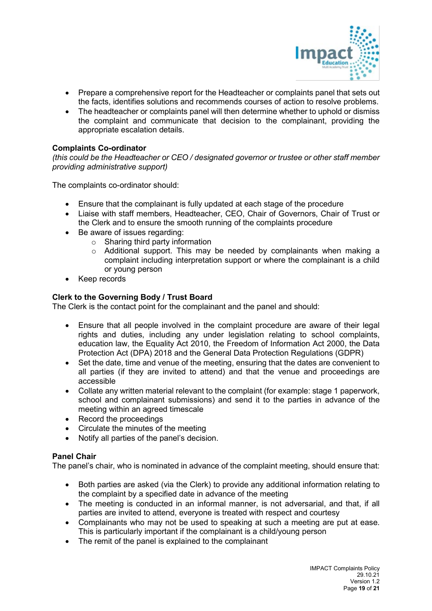

- Prepare a comprehensive report for the Headteacher or complaints panel that sets out the facts, identifies solutions and recommends courses of action to resolve problems.
- The headteacher or complaints panel will then determine whether to uphold or dismiss the complaint and communicate that decision to the complainant, providing the appropriate escalation details.

#### **Complaints Co-ordinator**

*(this could be the Headteacher or CEO / designated governor or trustee or other staff member providing administrative support)*

The complaints co-ordinator should:

- Ensure that the complainant is fully updated at each stage of the procedure
- Liaise with staff members, Headteacher, CEO, Chair of Governors, Chair of Trust or the Clerk and to ensure the smooth running of the complaints procedure
- Be aware of issues regarding:
	- $\circ$  Sharing third party information
	- $\circ$  Additional support. This may be needed by complainants when making a complaint including interpretation support or where the complainant is a child or young person
- Keep records

## **Clerk to the Governing Body / Trust Board**

The Clerk is the contact point for the complainant and the panel and should:

- Ensure that all people involved in the complaint procedure are aware of their legal rights and duties, including any under legislation relating to school complaints, education law, the Equality Act 2010, the Freedom of Information Act 2000, the Data Protection Act (DPA) 2018 and the General Data Protection Regulations (GDPR)
- Set the date, time and venue of the meeting, ensuring that the dates are convenient to all parties (if they are invited to attend) and that the venue and proceedings are accessible
- Collate any written material relevant to the complaint (for example: stage 1 paperwork, school and complainant submissions) and send it to the parties in advance of the meeting within an agreed timescale
- Record the proceedings
- Circulate the minutes of the meeting
- Notify all parties of the panel's decision.

#### **Panel Chair**

The panel's chair, who is nominated in advance of the complaint meeting, should ensure that:

- Both parties are asked (via the Clerk) to provide any additional information relating to the complaint by a specified date in advance of the meeting
- The meeting is conducted in an informal manner, is not adversarial, and that, if all parties are invited to attend, everyone is treated with respect and courtesy
- Complainants who may not be used to speaking at such a meeting are put at ease. This is particularly important if the complainant is a child/young person
- The remit of the panel is explained to the complainant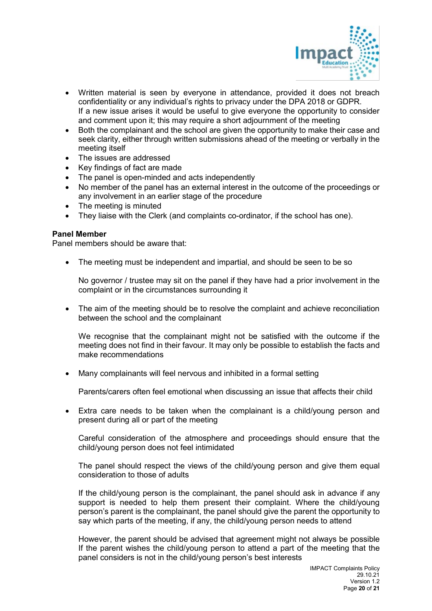

- Written material is seen by everyone in attendance, provided it does not breach confidentiality or any individual's rights to privacy under the DPA 2018 or GDPR. If a new issue arises it would be useful to give everyone the opportunity to consider and comment upon it; this may require a short adjournment of the meeting
- Both the complainant and the school are given the opportunity to make their case and seek clarity, either through written submissions ahead of the meeting or verbally in the meeting itself
- The issues are addressed
- Key findings of fact are made
- The panel is open-minded and acts independently
- No member of the panel has an external interest in the outcome of the proceedings or any involvement in an earlier stage of the procedure
- The meeting is minuted
- They liaise with the Clerk (and complaints co-ordinator, if the school has one).

#### **Panel Member**

Panel members should be aware that:

• The meeting must be independent and impartial, and should be seen to be so

No governor / trustee may sit on the panel if they have had a prior involvement in the complaint or in the circumstances surrounding it

• The aim of the meeting should be to resolve the complaint and achieve reconciliation between the school and the complainant

We recognise that the complainant might not be satisfied with the outcome if the meeting does not find in their favour. It may only be possible to establish the facts and make recommendations

• Many complainants will feel nervous and inhibited in a formal setting

Parents/carers often feel emotional when discussing an issue that affects their child

• Extra care needs to be taken when the complainant is a child/young person and present during all or part of the meeting

Careful consideration of the atmosphere and proceedings should ensure that the child/young person does not feel intimidated

The panel should respect the views of the child/young person and give them equal consideration to those of adults

If the child/young person is the complainant, the panel should ask in advance if any support is needed to help them present their complaint. Where the child/young person's parent is the complainant, the panel should give the parent the opportunity to say which parts of the meeting, if any, the child/young person needs to attend

However, the parent should be advised that agreement might not always be possible If the parent wishes the child/young person to attend a part of the meeting that the panel considers is not in the child/young person's best interests